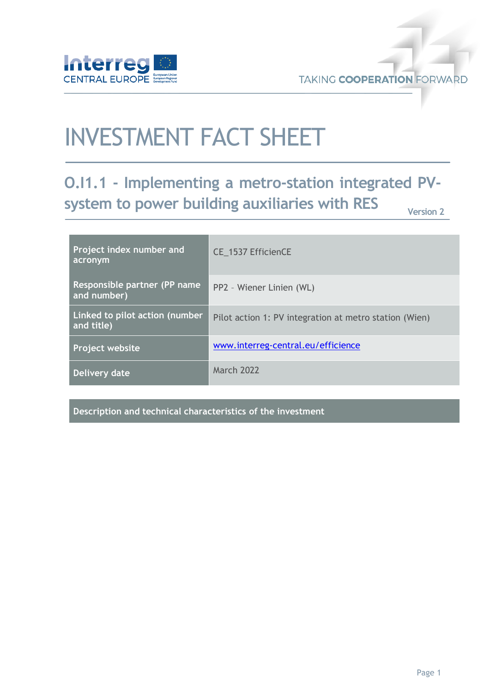

**TAKING COOPERATION FORWARD** 

# INVESTMENT FACT SHEET

## **O.I1.1 - Implementing a metro-station integrated PVsystem to power building auxiliaries with RES**

**Version 2**

| Project index number and<br>acronym          | CE 1537 EfficienCE                                     |
|----------------------------------------------|--------------------------------------------------------|
| Responsible partner (PP name<br>and number)  | PP2 - Wiener Linien (WL)                               |
| Linked to pilot action (number<br>and title) | Pilot action 1: PV integration at metro station (Wien) |
| Project website                              | www.interreg-central.eu/efficience                     |
| Delivery date                                | <b>March 2022</b>                                      |

**Description and technical characteristics of the investment**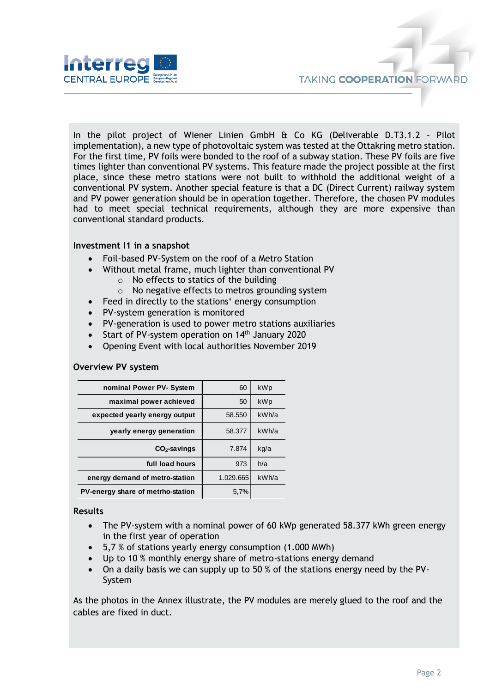

In the pilot project of Wiener Linien GmbH & Co KG (Deliverable D.T3.1.2 – Pilot implementation), a new type of photovoltaic system was tested at the Ottakring metro station. For the first time, PV foils were bonded to the roof of a subway station. These PV foils are five times lighter than conventional PV systems. This feature made the project possible at the first place, since these metro stations were not built to withhold the additional weight of a conventional PV system. Another special feature is that a DC (Direct Current) railway system and PV power generation should be in operation together. Therefore, the chosen PV modules had to meet special technical requirements, although they are more expensive than conventional standard products.

#### **Investment I1 in a snapshot**

- Foil-based PV-System on the roof of a Metro Station
- Without metal frame, much lighter than conventional PV
	- $\circ$  No effects to statics of the building
	- o No negative effects to metros grounding system
- Feed in directly to the stations' energy consumption
- PV-system generation is monitored
- PV-generation is used to power metro stations auxiliaries
- Start of PV-system operation on 14<sup>th</sup> January 2020
- Opening Event with local authorities November 2019

#### **Overview PV system**

| nominal Power PV- System          | 60        | kWp   |
|-----------------------------------|-----------|-------|
| maximal power achieved            | 50        | kWp   |
| expected yearly energy output     | 58.550    | kWh/a |
| yearly energy generation          | 58.377    | kWh/a |
| $CO2$ -savings                    | 7.874     | kg/a  |
| full load hours                   | 973       | h/a   |
| energy demand of metro-station    | 1.029.665 | kWh/a |
| PV-energy share of metrho-station | 5.7%      |       |

#### **Results**

- The PV-system with a nominal power of 60 kWp generated 58.377 kWh green energy in the first year of operation
- 5,7 % of stations yearly energy consumption (1.000 MWh)
- Up to 10 % monthly energy share of metro-stations energy demand
- On a daily basis we can supply up to 50 % of the stations energy need by the PV-System

As the photos in the Annex illustrate, the PV modules are merely glued to the roof and the cables are fixed in duct.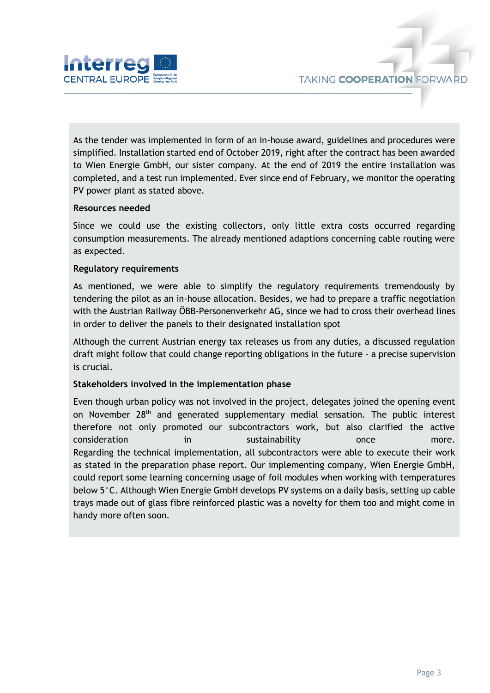

As the tender was implemented in form of an in-house award, guidelines and procedures were simplified. Installation started end of October 2019, right after the contract has been awarded to Wien Energie GmbH, our sister company. At the end of 2019 the entire installation was completed, and a test run implemented. Ever since end of February, we monitor the operating PV power plant as stated above.

#### **Resources needed**

Since we could use the existing collectors, only little extra costs occurred regarding consumption measurements. The already mentioned adaptions concerning cable routing were as expected.

#### **Regulatory requirements**

As mentioned, we were able to simplify the regulatory requirements tremendously by tendering the pilot as an in-house allocation. Besides, we had to prepare a traffic negotiation with the Austrian Railway ÖBB-Personenverkehr AG, since we had to cross their overhead lines in order to deliver the panels to their designated installation spot

Although the current Austrian energy tax releases us from any duties, a discussed regulation draft might follow that could change reporting obligations in the future – a precise supervision is crucial.

#### **Stakeholders involved in the implementation phase**

Even though urban policy was not involved in the project, delegates joined the opening event on November 28<sup>th</sup> and generated supplementary medial sensation. The public interest therefore not only promoted our subcontractors work, but also clarified the active consideration in sustainability once more. Regarding the technical implementation, all subcontractors were able to execute their work as stated in the preparation phase report. Our implementing company, Wien Energie GmbH, could report some learning concerning usage of foil modules when working with temperatures below 5°C. Although Wien Energie GmbH develops PV systems on a daily basis, setting up cable trays made out of glass fibre reinforced plastic was a novelty for them too and might come in handy more often soon.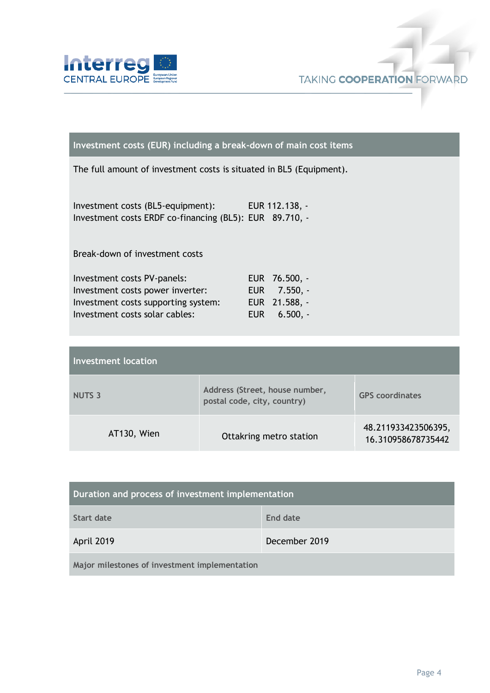



#### **Investment costs (EUR) including a break-down of main cost items**

The full amount of investment costs is situated in BL5 (Equipment).

Investment costs (BL5-equipment): EUR 112.138, - Investment costs ERDF co-financing (BL5): EUR 89.710, -

Break-down of investment costs

| Investment costs PV-panels:         | EUR 76.500, - |
|-------------------------------------|---------------|
| Investment costs power inverter:    | EUR 7.550, -  |
| Investment costs supporting system: | EUR 21.588, - |
| Investment costs solar cables:      |               |

| <b>Investment location</b> |                                                               |                                           |  |  |
|----------------------------|---------------------------------------------------------------|-------------------------------------------|--|--|
| <b>NUTS 3</b>              | Address (Street, house number,<br>postal code, city, country) | <b>GPS</b> coordinates                    |  |  |
| AT130, Wien                | Ottakring metro station                                       | 48.211933423506395,<br>16.310958678735442 |  |  |

| Duration and process of investment implementation |               |  |
|---------------------------------------------------|---------------|--|
| Start date                                        | End date      |  |
| April 2019                                        | December 2019 |  |
| Major milestones of investment implementation     |               |  |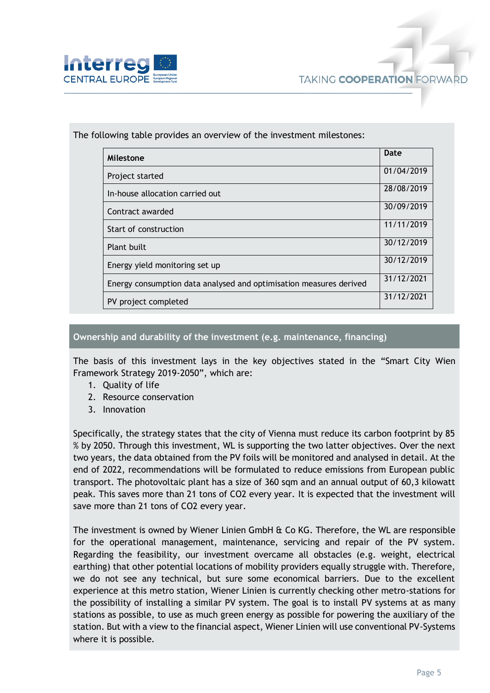

| Milestone                                                          | Date       |
|--------------------------------------------------------------------|------------|
| Project started                                                    | 01/04/2019 |
| In-house allocation carried out                                    | 28/08/2019 |
| Contract awarded                                                   | 30/09/2019 |
| Start of construction                                              | 11/11/2019 |
| Plant built                                                        | 30/12/2019 |
| Energy yield monitoring set up                                     | 30/12/2019 |
| Energy consumption data analysed and optimisation measures derived | 31/12/2021 |
| PV project completed                                               | 31/12/2021 |

The following table provides an overview of the investment milestones:

#### **Ownership and durability of the investment (e.g. maintenance, financing)**

The basis of this investment lays in the key objectives stated in the "Smart City Wien Framework Strategy 2019-2050", which are:

- 1. Quality of life
- 2. Resource conservation
- 3. Innovation

Specifically, the strategy states that the city of Vienna must reduce its carbon footprint by 85 % by 2050. Through this investment, WL is supporting the two latter objectives. Over the next two years, the data obtained from the PV foils will be monitored and analysed in detail. At the end of 2022, recommendations will be formulated to reduce emissions from European public transport. The photovoltaic plant has a size of 360 sqm and an annual output of 60,3 kilowatt peak. This saves more than 21 tons of CO2 every year. It is expected that the investment will save more than 21 tons of CO2 every year.

The investment is owned by Wiener Linien GmbH  $\hat{\alpha}$  Co KG. Therefore, the WL are responsible for the operational management, maintenance, servicing and repair of the PV system. Regarding the feasibility, our investment overcame all obstacles (e.g. weight, electrical earthing) that other potential locations of mobility providers equally struggle with. Therefore, we do not see any technical, but sure some economical barriers. Due to the excellent experience at this metro station, Wiener Linien is currently checking other metro-stations for the possibility of installing a similar PV system. The goal is to install PV systems at as many stations as possible, to use as much green energy as possible for powering the auxiliary of the station. But with a view to the financial aspect, Wiener Linien will use conventional PV-Systems where it is possible.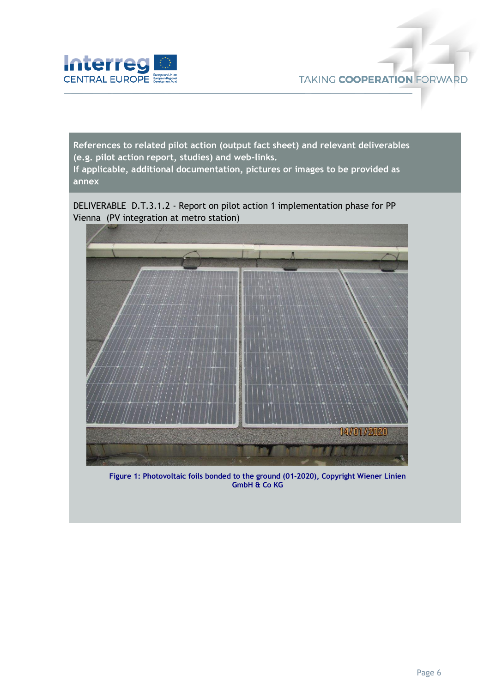

**References to related pilot action (output fact sheet) and relevant deliverables (e.g. pilot action report, studies) and web-links. If applicable, additional documentation, pictures or images to be provided as annex**

DELIVERABLE D.T.3.1.2 - Report on pilot action 1 implementation phase for PP Vienna (PV integration at metro station)



**Figure 1: Photovoltaic foils bonded to the ground (01-2020), Copyright Wiener Linien GmbH & Co KG**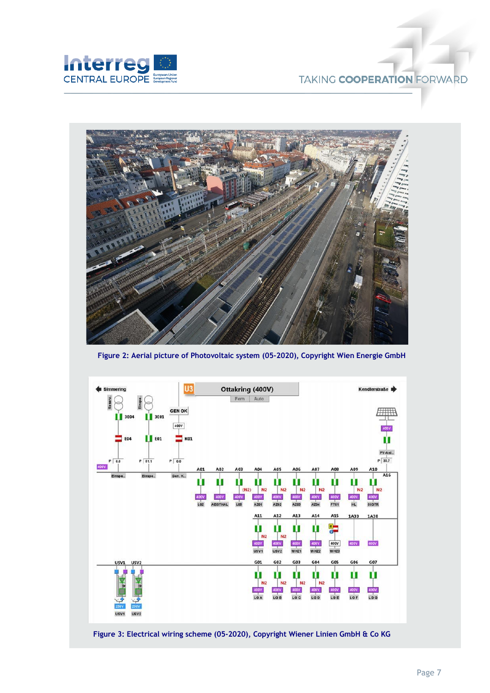



**Figure 2: Aerial picture of Photovoltaic system (05-2020), Copyright Wien Energie GmbH**